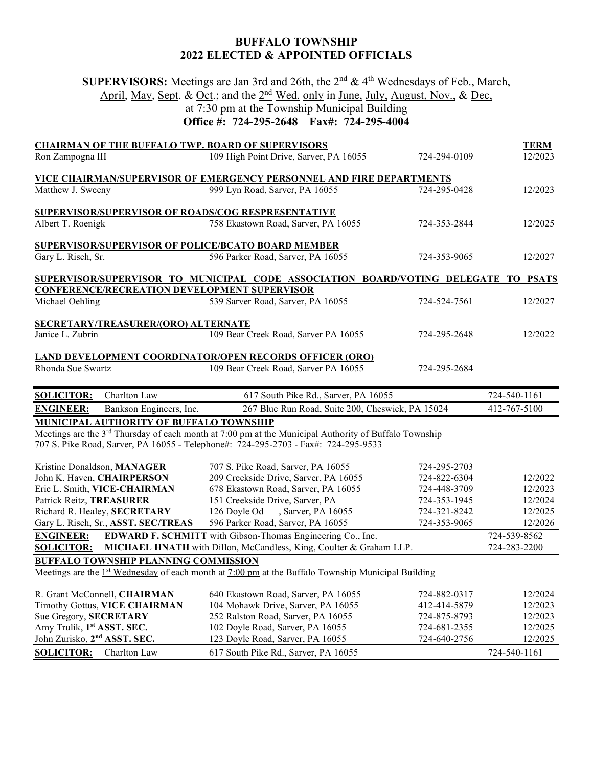## **BUFFALO TOWNSHIP 2022 ELECTED & APPOINTED OFFICIALS**

**SUPERVISORS:** Meetings are Jan 3rd and 26th, the 2nd & 4th Wednesdays of Feb., March, April, May, Sept. & Oct.; and the 2<sup>nd</sup> Wed. only in June, July, August, Nov., & Dec, at 7:30 pm at the Township Municipal Building

## **Office #: 724-295-2648 Fax#: 724-295-4004**

| <b>CHAIRMAN OF THE BUFFALO TWP. BOARD OF SUPERVISORS</b><br>Ron Zampogna III                                                                                                                                       | 109 High Point Drive, Sarver, PA 16055                                                                                                                                                                                           | 724-294-0109                                                                                 | <b>TERM</b><br>12/2023                                              |  |  |
|--------------------------------------------------------------------------------------------------------------------------------------------------------------------------------------------------------------------|----------------------------------------------------------------------------------------------------------------------------------------------------------------------------------------------------------------------------------|----------------------------------------------------------------------------------------------|---------------------------------------------------------------------|--|--|
| Matthew J. Sweeny                                                                                                                                                                                                  | <b>VICE CHAIRMAN/SUPERVISOR OF EMERGENCY PERSONNEL AND FIRE DEPARTMENTS</b><br>999 Lyn Road, Sarver, PA 16055                                                                                                                    | 724-295-0428                                                                                 | 12/2023                                                             |  |  |
| SUPERVISOR/SUPERVISOR OF ROADS/COG RESPRESENTATIVE<br>Albert T. Roenigk                                                                                                                                            | 758 Ekastown Road, Sarver, PA 16055                                                                                                                                                                                              | 724-353-2844                                                                                 | 12/2025                                                             |  |  |
| <b>SUPERVISOR/SUPERVISOR OF POLICE/BCATO BOARD MEMBER</b><br>Gary L. Risch, Sr.                                                                                                                                    | 596 Parker Road, Sarver, PA 16055                                                                                                                                                                                                | 724-353-9065                                                                                 | 12/2027                                                             |  |  |
| SUPERVISOR/SUPERVISOR TO MUNICIPAL CODE ASSOCIATION BOARD/VOTING DELEGATE TO PSATS                                                                                                                                 |                                                                                                                                                                                                                                  |                                                                                              |                                                                     |  |  |
| <b>CONFERENCE/RECREATION DEVELOPMENT SUPERVISOR</b><br>Michael Oehling                                                                                                                                             | 539 Sarver Road, Sarver, PA 16055                                                                                                                                                                                                | 724-524-7561                                                                                 | 12/2027                                                             |  |  |
| SECRETARY/TREASURER/(ORO) ALTERNATE<br>Janice L. Zubrin                                                                                                                                                            | 109 Bear Creek Road, Sarver PA 16055                                                                                                                                                                                             | 724-295-2648                                                                                 | 12/2022                                                             |  |  |
| Rhonda Sue Swartz                                                                                                                                                                                                  | <b>LAND DEVELOPMENT COORDINATOR/OPEN RECORDS OFFICER (ORO)</b><br>109 Bear Creek Road, Sarver PA 16055                                                                                                                           | 724-295-2684                                                                                 |                                                                     |  |  |
|                                                                                                                                                                                                                    |                                                                                                                                                                                                                                  |                                                                                              |                                                                     |  |  |
| Charlton Law<br><b>SOLICITOR:</b>                                                                                                                                                                                  | 617 South Pike Rd., Sarver, PA 16055                                                                                                                                                                                             |                                                                                              | 724-540-1161                                                        |  |  |
| Bankson Engineers, Inc.<br><b>ENGINEER:</b>                                                                                                                                                                        | 267 Blue Run Road, Suite 200, Cheswick, PA 15024                                                                                                                                                                                 |                                                                                              | 412-767-5100                                                        |  |  |
| <b>MUNICIPAL AUTHORITY OF BUFFALO TOWNSHIP</b>                                                                                                                                                                     | Meetings are the 3 <sup>rd</sup> Thursday of each month at 7:00 pm at the Municipal Authority of Buffalo Township<br>707 S. Pike Road, Sarver, PA 16055 - Telephone#: 724-295-2703 - Fax#: 724-295-9533                          |                                                                                              |                                                                     |  |  |
| Kristine Donaldson, MANAGER<br>John K. Haven, CHAIRPERSON<br>Eric L. Smith, VICE-CHAIRMAN<br>Patrick Reitz, TREASURER<br>Richard R. Healey, SECRETARY<br>Gary L. Risch, Sr., ASST. SEC/TREAS                       | 707 S. Pike Road, Sarver, PA 16055<br>209 Creekside Drive, Sarver, PA 16055<br>678 Ekastown Road, Sarver, PA 16055<br>151 Creekside Drive, Sarver, PA<br>126 Doyle Od<br>, Sarver, PA 16055<br>596 Parker Road, Sarver, PA 16055 | 724-295-2703<br>724-822-6304<br>724-448-3709<br>724-353-1945<br>724-321-8242<br>724-353-9065 | 12/2022<br>12/2023<br>12/2024<br>12/2025<br>12/2026                 |  |  |
| <b>ENGINEER:</b><br><b>SOLICITOR:</b>                                                                                                                                                                              | <b>EDWARD F. SCHMITT</b> with Gibson-Thomas Engineering Co., Inc.<br>MICHAEL HNATH with Dillon, McCandless, King, Coulter & Graham LLP.                                                                                          |                                                                                              | 724-539-8562<br>724-283-2200                                        |  |  |
| BUFFALO TOWNSHIP PLANNING COMMISSION                                                                                                                                                                               |                                                                                                                                                                                                                                  |                                                                                              |                                                                     |  |  |
|                                                                                                                                                                                                                    | Meetings are the $1st$ Wednesday of each month at 7:00 pm at the Buffalo Township Municipal Building                                                                                                                             |                                                                                              |                                                                     |  |  |
| R. Grant McConnell, CHAIRMAN<br>Timothy Gottus, VICE CHAIRMAN<br>Sue Gregory, SECRETARY<br>Amy Trulik, 1 <sup>st</sup> ASST. SEC.<br>John Zurisko, 2 <sup>nd</sup> ASST. SEC.<br><b>SOLICITOR:</b><br>Charlton Law | 640 Ekastown Road, Sarver, PA 16055<br>104 Mohawk Drive, Sarver, PA 16055<br>252 Ralston Road, Sarver, PA 16055<br>102 Doyle Road, Sarver, PA 16055<br>123 Doyle Road, Sarver, PA 16055<br>617 South Pike Rd., Sarver, PA 16055  | 724-882-0317<br>412-414-5879<br>724-875-8793<br>724-681-2355<br>724-640-2756                 | 12/2024<br>12/2023<br>12/2023<br>12/2025<br>12/2025<br>724-540-1161 |  |  |